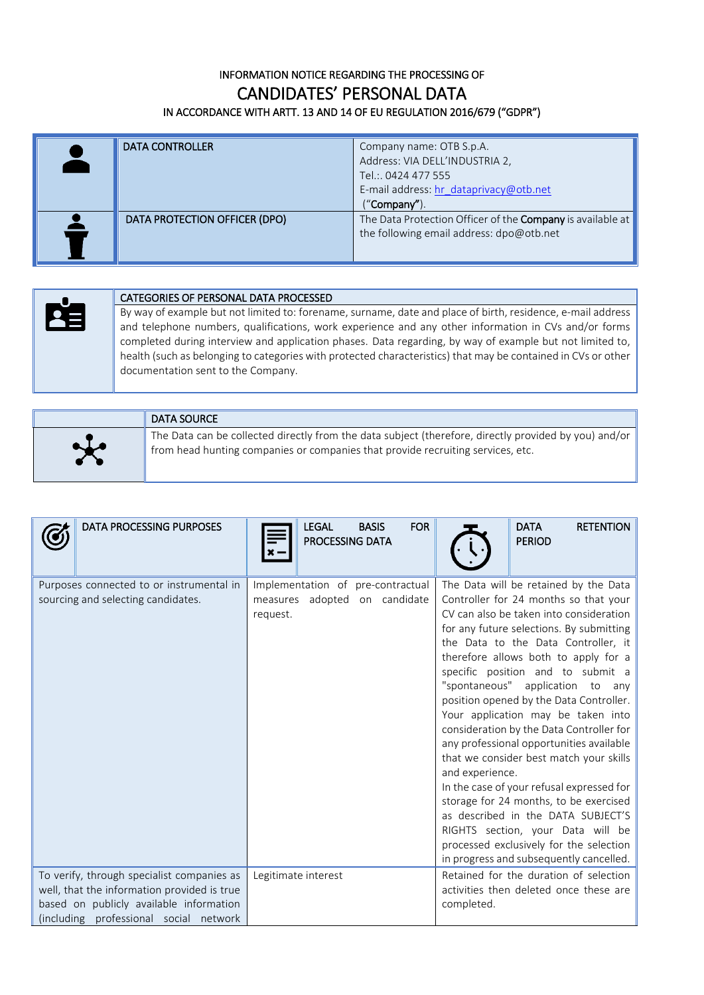## INFORMATION NOTICE REGARDING THE PROCESSING OF CANDIDATES' PERSONAL DATA IN ACCORDANCE WITH ARTT. 13 AND 14 OF EU REGULATION 2016/679 ("GDPR")

| <b>DATA CONTROLLER</b>        | Company name: OTB S.p.A.<br>Address: VIA DELL'INDUSTRIA 2,<br>Tel.: 0424 477 555<br>E-mail address: hr dataprivacy@otb.net<br>(''Company''). |
|-------------------------------|----------------------------------------------------------------------------------------------------------------------------------------------|
| DATA PROTECTION OFFICER (DPO) | The Data Protection Officer of the <b>Company</b> is available at<br>the following email address: dpo@otb.net                                |

## CATEGORIES OF PERSONAL DATA PROCESSED

By way of example but not limited to: forename, surname, date and place of birth, residence, e-mail address and telephone numbers, qualifications, work experience and any other information in CVs and/or forms completed during interview and application phases. Data regarding, by way of example but not limited to, health (such as belonging to categories with protected characteristics) that may be contained in CVs or other documentation sent to the Company.

|        | DATA SOURCE                                                                                                                                                                                   |
|--------|-----------------------------------------------------------------------------------------------------------------------------------------------------------------------------------------------|
| $\sim$ | The Data can be collected directly from the data subject (therefore, directly provided by you) and/or $\ $<br>from head hunting companies or companies that provide recruiting services, etc. |

| <b>DATA PROCESSING PURPOSES</b>                                                                                                                                                | <b>FOR</b><br><b>LEGAL</b><br><b>BASIS</b><br>PROCESSING DATA                  | <b>DATA</b><br><b>RETENTION</b><br><b>PERIOD</b>                                                                                                                                                                                                                                                                                                                                                                                                                                                                                                                                                                                                                                                                                                                                                                                |
|--------------------------------------------------------------------------------------------------------------------------------------------------------------------------------|--------------------------------------------------------------------------------|---------------------------------------------------------------------------------------------------------------------------------------------------------------------------------------------------------------------------------------------------------------------------------------------------------------------------------------------------------------------------------------------------------------------------------------------------------------------------------------------------------------------------------------------------------------------------------------------------------------------------------------------------------------------------------------------------------------------------------------------------------------------------------------------------------------------------------|
| Purposes connected to or instrumental in<br>sourcing and selecting candidates.                                                                                                 | Implementation of pre-contractual<br>measures adopted on candidate<br>request. | The Data will be retained by the Data<br>Controller for 24 months so that your<br>CV can also be taken into consideration<br>for any future selections. By submitting<br>the Data to the Data Controller, it<br>therefore allows both to apply for a<br>specific position and to submit a<br>"spontaneous" application to<br>any<br>position opened by the Data Controller.<br>Your application may be taken into<br>consideration by the Data Controller for<br>any professional opportunities available<br>that we consider best match your skills<br>and experience.<br>In the case of your refusal expressed for<br>storage for 24 months, to be exercised<br>as described in the DATA SUBJECT'S<br>RIGHTS section, your Data will be<br>processed exclusively for the selection<br>in progress and subsequently cancelled. |
| To verify, through specialist companies as<br>well, that the information provided is true<br>based on publicly available information<br>(including professional social network | Legitimate interest                                                            | Retained for the duration of selection<br>activities then deleted once these are<br>completed.                                                                                                                                                                                                                                                                                                                                                                                                                                                                                                                                                                                                                                                                                                                                  |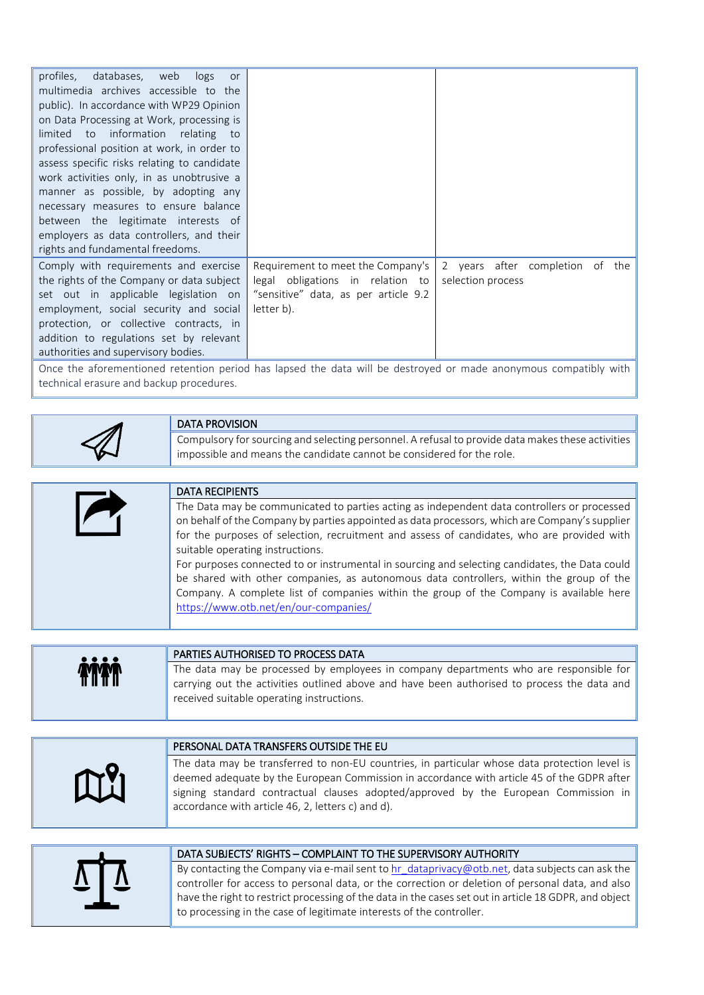| profiles, databases, web logs<br>or<br>multimedia archives accessible to the<br>public). In accordance with WP29 Opinion<br>on Data Processing at Work, processing is<br>to information relating to<br>limited<br>professional position at work, in order to |                                      |                                 |
|--------------------------------------------------------------------------------------------------------------------------------------------------------------------------------------------------------------------------------------------------------------|--------------------------------------|---------------------------------|
| assess specific risks relating to candidate                                                                                                                                                                                                                  |                                      |                                 |
| work activities only, in as unobtrusive a                                                                                                                                                                                                                    |                                      |                                 |
| manner as possible, by adopting any                                                                                                                                                                                                                          |                                      |                                 |
| necessary measures to ensure balance                                                                                                                                                                                                                         |                                      |                                 |
| between the legitimate interests of                                                                                                                                                                                                                          |                                      |                                 |
| employers as data controllers, and their                                                                                                                                                                                                                     |                                      |                                 |
| rights and fundamental freedoms.                                                                                                                                                                                                                             |                                      |                                 |
| Comply with requirements and exercise                                                                                                                                                                                                                        | Requirement to meet the Company's    | 2 years after completion of the |
| the rights of the Company or data subject                                                                                                                                                                                                                    | legal obligations in relation to     | selection process               |
| set out in applicable legislation on                                                                                                                                                                                                                         | "sensitive" data, as per article 9.2 |                                 |
| employment, social security and social                                                                                                                                                                                                                       | letter b).                           |                                 |
| protection, or collective contracts, in                                                                                                                                                                                                                      |                                      |                                 |
| addition to regulations set by relevant                                                                                                                                                                                                                      |                                      |                                 |
| authorities and supervisory bodies.                                                                                                                                                                                                                          |                                      |                                 |
| And on the sufference entitled the memorial control that the second also states with the substance of the contr                                                                                                                                              |                                      | the activity of the contact     |

Once the aforementioned retention period has lapsed the data will be destroyed or made anonymous compatibly with technical erasure and backup procedures.

֦ DATA PROVISION Compulsory for sourcing and selecting personnel. A refusal to provide data makes these activities impossible and means the candidate cannot be considered for the role.

| <b>DATA RECIPIENTS</b>                                                                         |
|------------------------------------------------------------------------------------------------|
| The Data may be communicated to parties acting as independent data controllers or processed    |
| on behalf of the Company by parties appointed as data processors, which are Company's supplier |
| for the purposes of selection, recruitment and assess of candidates, who are provided with     |
| suitable operating instructions.                                                               |
| For purposes connected to or instrumental in sourcing and selecting candidates, the Data could |
| be shared with other companies, as autonomous data controllers, within the group of the        |
| Company. A complete list of companies within the group of the Company is available here        |
| https://www.otb.net/en/our-companies/                                                          |
|                                                                                                |

|           | PARTIES AUTHORISED TO PROCESS DATA                                                          |
|-----------|---------------------------------------------------------------------------------------------|
| <b>MM</b> | The data may be processed by employees in company departments who are responsible for       |
|           | carrying out the activities outlined above and have been authorised to process the data and |
|           | received suitable operating instructions.                                                   |
|           |                                                                                             |

|                | PERSONAL DATA TRANSFERS OUTSIDE THE EU                                                                                                                                                                                                                                                                                                  |
|----------------|-----------------------------------------------------------------------------------------------------------------------------------------------------------------------------------------------------------------------------------------------------------------------------------------------------------------------------------------|
| $\mathbb{M}^9$ | The data may be transferred to non-EU countries, in particular whose data protection level is<br>deemed adequate by the European Commission in accordance with article 45 of the GDPR after<br>signing standard contractual clauses adopted/approved by the European Commission in<br>accordance with article 46, 2, letters c) and d). |

## DATA SUBJECTS' RIGHTS – COMPLAINT TO THE SUPERVISORY AUTHORITY

By contacting the Company via e-mail sent to  $hr$  dataprivacy@otb.net, data subjects can ask the controller for access to personal data, or the correction or deletion of personal data, and also have the right to restrict processing of the data in the cases set out in article 18 GDPR, and object to processing in the case of legitimate interests of the controller.